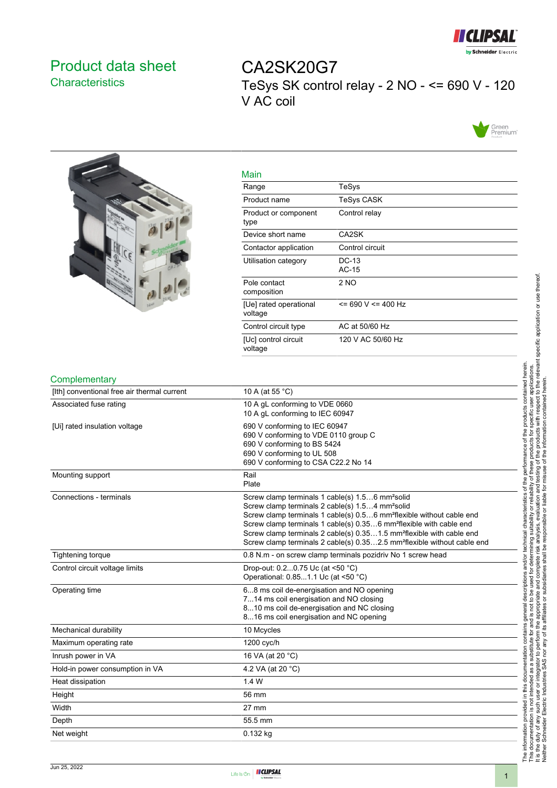

# <span id="page-0-0"></span>Product data sheet **Characteristics**

CA2SK20G7 TeSys SK control relay - 2 NO - <= 690 V - 120 V AC coil





| Main                              |                    |
|-----------------------------------|--------------------|
| Range                             | TeSys              |
| Product name                      | TeSys CASK         |
| Product or component<br>type      | Control relay      |
| Device short name                 | CA2SK              |
| Contactor application             | Control circuit    |
| Utilisation category              | DC-13<br>$AC-15$   |
| Pole contact<br>composition       | 2 NO               |
| [Ue] rated operational<br>voltage | $= 690 V = 400 Hz$ |
| Control circuit type              | AC at 50/60 Hz     |
| [Uc] control circuit<br>voltage   | 120 V AC 50/60 Hz  |

#### **Complementary**

| י ייטויוטויוטוקוווט                         |                                                                                                                                                                                                                                                                                                                                                                                                                                                                             |
|---------------------------------------------|-----------------------------------------------------------------------------------------------------------------------------------------------------------------------------------------------------------------------------------------------------------------------------------------------------------------------------------------------------------------------------------------------------------------------------------------------------------------------------|
| [Ith] conventional free air thermal current | 10 A (at 55 °C)                                                                                                                                                                                                                                                                                                                                                                                                                                                             |
| Associated fuse rating                      | 10 A gL conforming to VDE 0660<br>10 A gL conforming to IEC 60947                                                                                                                                                                                                                                                                                                                                                                                                           |
| [Ui] rated insulation voltage               | 690 V conforming to IEC 60947<br>690 V conforming to VDE 0110 group C<br>690 V conforming to BS 5424<br>690 V conforming to UL 508<br>690 V conforming to CSA C22.2 No 14                                                                                                                                                                                                                                                                                                   |
| Mounting support                            | Rail<br>Plate                                                                                                                                                                                                                                                                                                                                                                                                                                                               |
| Connections - terminals                     | Screw clamp terminals 1 cable(s) 1.56 mm <sup>2</sup> solid<br>Screw clamp terminals 2 cable(s) 1.54 mm <sup>2</sup> solid<br>Screw clamp terminals 1 cable(s) 0.56 mm <sup>2</sup> flexible without cable end<br>Screw clamp terminals 1 cable(s) 0.356 mm <sup>2</sup> flexible with cable end<br>Screw clamp terminals 2 cable(s) 0.351.5 mm <sup>2</sup> flexible with cable end<br>Screw clamp terminals 2 cable(s) 0.352.5 mm <sup>2</sup> flexible without cable end |
| <b>Tightening torque</b>                    | 0.8 N.m - on screw clamp terminals pozidriv No 1 screw head                                                                                                                                                                                                                                                                                                                                                                                                                 |
| Control circuit voltage limits              | Drop-out: 0.20.75 Uc (at <50 °C)<br>Operational: 0.851.1 Uc (at <50 °C)                                                                                                                                                                                                                                                                                                                                                                                                     |
| Operating time                              | 68 ms coil de-energisation and NO opening<br>714 ms coil energisation and NO closing<br>810 ms coil de-energisation and NC closing<br>816 ms coil energisation and NC opening                                                                                                                                                                                                                                                                                               |
| Mechanical durability                       | 10 Mcycles                                                                                                                                                                                                                                                                                                                                                                                                                                                                  |
| Maximum operating rate                      | 1200 cyc/h                                                                                                                                                                                                                                                                                                                                                                                                                                                                  |
| Inrush power in VA                          | 16 VA (at 20 °C)                                                                                                                                                                                                                                                                                                                                                                                                                                                            |
| Hold-in power consumption in VA             | 4.2 VA (at 20 °C)                                                                                                                                                                                                                                                                                                                                                                                                                                                           |
| Heat dissipation                            | 1.4W                                                                                                                                                                                                                                                                                                                                                                                                                                                                        |
| Height                                      | 56 mm                                                                                                                                                                                                                                                                                                                                                                                                                                                                       |
| Width                                       | $27 \text{ mm}$                                                                                                                                                                                                                                                                                                                                                                                                                                                             |
| Depth                                       | 55.5 mm                                                                                                                                                                                                                                                                                                                                                                                                                                                                     |
| Net weight                                  | 0.132 kg                                                                                                                                                                                                                                                                                                                                                                                                                                                                    |